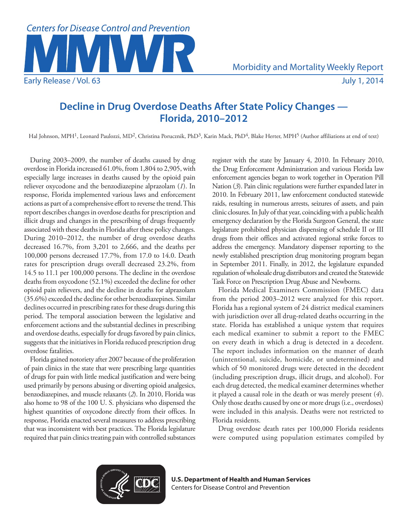

# **Decline in Drug Overdose Deaths After State Policy Changes — Florida, 2010–2012**

Hal Johnson, MPH<sup>1</sup>, Leonard Paulozzi, MD<sup>2</sup>, Christina Porucznik, PhD<sup>3</sup>, Karin Mack, PhD<sup>4</sup>, Blake Herter, MPH<sup>5</sup> (Author affiliations at end of text)

During 2003–2009, the number of deaths caused by drug overdose in Florida increased 61.0%, from 1,804 to 2,905, with especially large increases in deaths caused by the opioid pain reliever oxycodone and the benzodiazepine alprazolam (*1*). In response, Florida implemented various laws and enforcement actions as part of a comprehensive effort to reverse the trend. This report describes changes in overdose deaths for prescription and illicit drugs and changes in the prescribing of drugs frequently associated with these deaths in Florida after these policy changes. During 2010–2012, the number of drug overdose deaths decreased 16.7%, from 3,201 to 2,666, and the deaths per 100,000 persons decreased 17.7%, from 17.0 to 14.0. Death rates for prescription drugs overall decreased 23.2%, from 14.5 to 11.1 per 100,000 persons. The decline in the overdose deaths from oxycodone (52.1%) exceeded the decline for other opioid pain relievers, and the decline in deaths for alprazolam (35.6%) exceeded the decline for other benzodiazepines. Similar declines occurred in prescribing rates for these drugs during this period. The temporal association between the legislative and enforcement actions and the substantial declines in prescribing and overdose deaths, especially for drugs favored by pain clinics, suggests that the initiatives in Florida reduced prescription drug overdose fatalities.

Florida gained notoriety after 2007 because of the proliferation of pain clinics in the state that were prescribing large quantities of drugs for pain with little medical justification and were being used primarily by persons abusing or diverting opioid analgesics, benzodiazepines, and muscle relaxants (*2*). In 2010, Florida was also home to 98 of the 100 U. S. physicians who dispensed the highest quantities of oxycodone directly from their offices. In response, Florida enacted several measures to address prescribing that was inconsistent with best practices. The Florida legislature required that pain clinics treating pain with controlled substances register with the state by January 4, 2010. In February 2010, the Drug Enforcement Administration and various Florida law enforcement agencies began to work together in Operation Pill Nation (*3*). Pain clinic regulations were further expanded later in 2010. In February 2011, law enforcement conducted statewide raids, resulting in numerous arrests, seizures of assets, and pain clinic closures. In July of that year, coinciding with a public health emergency declaration by the Florida Surgeon General, the state legislature prohibited physician dispensing of schedule II or III drugs from their offices and activated regional strike forces to address the emergency. Mandatory dispenser reporting to the newly established prescription drug monitoring program began in September 2011. Finally, in 2012, the legislature expanded regulation of wholesale drug distributors and created the Statewide Task Force on Prescription Drug Abuse and Newborns.

Florida Medical Examiners Commission (FMEC) data from the period 2003–2012 were analyzed for this report. Florida has a regional system of 24 district medical examiners with jurisdiction over all drug-related deaths occurring in the state. Florida has established a unique system that requires each medical examiner to submit a report to the FMEC on every death in which a drug is detected in a decedent. The report includes information on the manner of death (unintentional, suicide, homicide, or undetermined) and which of 50 monitored drugs were detected in the decedent (including prescription drugs, illicit drugs, and alcohol). For each drug detected, the medical examiner determines whether it played a causal role in the death or was merely present (*4*). Only those deaths caused by one or more drugs (i.e., overdoses) were included in this analysis. Deaths were not restricted to Florida residents.

Drug overdose death rates per 100,000 Florida residents were computed using population estimates compiled by



**U.S. Department of Health and Human Services** Centers for Disease Control and Prevention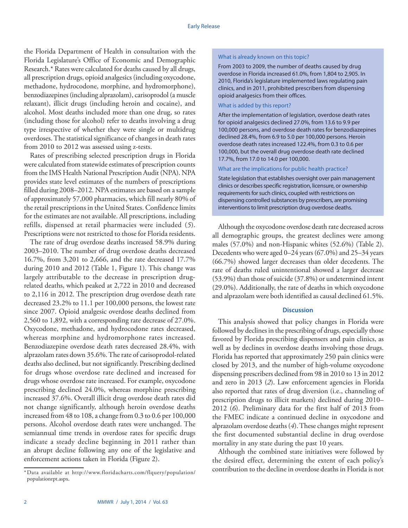the Florida Department of Health in consultation with the Florida Legislature's Office of Economic and Demographic Research.\* Rates were calculated for deaths caused by all drugs, all prescription drugs, opioid analgesics (including oxycodone, methadone, hydrocodone, morphine, and hydromorphone), benzodiazepines (including alprazolam), carisoprodol (a muscle relaxant), illicit drugs (including heroin and cocaine), and alcohol. Most deaths included more than one drug, so rates (including those for alcohol) refer to deaths involving a drug type irrespective of whether they were single or multidrug overdoses. The statistical significance of changes in death rates from 2010 to 2012 was assessed using z-tests.

Rates of prescribing selected prescription drugs in Florida were calculated from statewide estimates of prescription counts from the IMS Health National Prescription Audit (NPA). NPA provides state level estimates of the numbers of prescriptions filled during 2008–2012. NPA estimates are based on a sample of approximately 57,000 pharmacies, which fill nearly 80% of the retail prescriptions in the United States. Confidence limits for the estimates are not available. All prescriptions, including refills, dispensed at retail pharmacies were included (*5*). Prescriptions were not restricted to those for Florida residents.

The rate of drug overdose deaths increased 58.9% during 2003–2010. The number of drug overdose deaths decreased 16.7%, from 3,201 to 2,666, and the rate decreased 17.7% during 2010 and 2012 (Table 1, Figure 1). This change was largely attributable to the decrease in prescription drugrelated deaths, which peaked at 2,722 in 2010 and decreased to 2,116 in 2012. The prescription drug overdose death rate decreased 23.2% to 11.1 per 100,000 persons, the lowest rate since 2007. Opioid analgesic overdose deaths declined from 2,560 to 1,892, with a corresponding rate decrease of 27.0%. Oxycodone, methadone, and hydrocodone rates decreased, whereas morphine and hydromorphone rates increased. Benzodiazepine overdose death rates decreased 28.4%, with alprazolam rates down 35.6%. The rate of carisoprodol-related deaths also declined, but not significantly. Prescribing declined for drugs whose overdose rate declined and increased for drugs whose overdose rate increased. For example, oxycodone prescribing declined 24.0%, whereas morphine prescribing increased 37.6%. Overall illicit drug overdose death rates did not change significantly, although heroin overdose deaths increased from 48 to 108, a change from 0.3 to 0.6 per 100,000 persons. Alcohol overdose death rates were unchanged. The semiannual time trends in overdose rates for specific drugs indicate a steady decline beginning in 2011 rather than an abrupt decline following any one of the legislative and enforcement actions taken in Florida (Figure 2).

#### What is already known on this topic?

From 2003 to 2009, the number of deaths caused by drug overdose in Florida increased 61.0%, from 1,804 to 2,905. In 2010, Florida's legislature implemented laws regulating pain clinics, and in 2011, prohibited prescribers from dispensing opioid analgesics from their offices.

## What is added by this report?

After the implementation of legislation, overdose death rates for opioid analgesics declined 27.0%, from 13.6 to 9.9 per 100,000 persons, and overdose death rates for benzodiazepines declined 28.4%, from 6.9 to 5.0 per 100,000 persons. Heroin overdose death rates increased 122.4%, from 0.3 to 0.6 per 100,000, but the overall drug overdose death rate declined 17.7%, from 17.0 to 14.0 per 100,000.

### What are the implications for public health practice?

State legislation that establishes oversight over pain management clinics or describes specific registration, licensure, or ownership requirements for such clinics, coupled with restrictions on dispensing controlled substances by prescribers, are promising interventions to limit prescription drug overdose deaths.

Although the oxycodone overdose death rate decreased across all demographic groups, the greatest declines were among males (57.0%) and non-Hispanic whites (52.6%) (Table 2). Decedents who were aged 0–24 years (67.0%) and 25–34 years (66.7%) showed larger decreases than older decedents. The rate of deaths ruled unintentional showed a larger decrease (53.9%) than those of suicide (37.8%) or undetermined intent (29.0%). Additionally, the rate of deaths in which oxycodone and alprazolam were both identified as causal declined 61.5%.

## **Discussion**

This analysis showed that policy changes in Florida were followed by declines in the prescribing of drugs, especially those favored by Florida prescribing dispensers and pain clinics, as well as by declines in overdose deaths involving those drugs. Florida has reported that approximately 250 pain clinics were closed by 2013, and the number of high-volume oxycodone dispensing prescribers declined from 98 in 2010 to 13 in 2012 and zero in 2013 (*2*). Law enforcement agencies in Florida also reported that rates of drug diversion (i.e., channeling of prescription drugs to illicit markets) declined during 2010– 2012 (*6*). Preliminary data for the first half of 2013 from the FMEC indicate a continued decline in oxycodone and alprazolam overdose deaths (*4*). These changes might represent the first documented substantial decline in drug overdose mortality in any state during the past 10 years.

Although the combined state initiatives were followed by the desired effect, determining the extent of each policy's contribution to the decline in overdose deaths in Florida is not \*Data available at [http://www.floridacharts.com/flquery/population/](http://www.floridacharts.com/flquery/population/populationrpt.aspx)

[populationrpt.aspx.](http://www.floridacharts.com/flquery/population/populationrpt.aspx)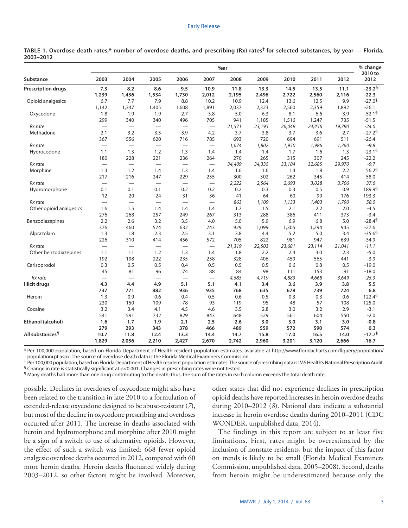#### Early Release

|                           | Year                     |                                  |                          |                          |                          |               |               |               |               | % change      |                        |
|---------------------------|--------------------------|----------------------------------|--------------------------|--------------------------|--------------------------|---------------|---------------|---------------|---------------|---------------|------------------------|
| Substance                 | 2003                     | 2004                             | 2005                     | 2006                     | 2007                     | 2008          | 2009          | 2010          | 2011          | 2012          | 2010 to<br>2012        |
| <b>Prescription drugs</b> | 7.3<br>1,239             | 8.2<br>1,436                     | 8.6<br>1,534             | 9.5<br>1,730             | 10.9<br>2,012            | 11.8<br>2,195 | 13.3<br>2,496 | 14.5<br>2,722 | 13.5<br>2,560 | 11.1<br>2,116 | $-23.2^{6}$<br>$-22.3$ |
| Opioid analgesics         | 6.7                      | 7.7                              | 7.9                      | 8.8                      | 10.2                     | 10.9          | 12.4          | 13.6          | 12.5          | 9.9           | $-27.05$               |
|                           | 1,142                    | 1,347                            | 1,405                    | 1,608                    | 1,891                    | 2,037         | 2,323         | 2,560         | 2,359         | 1,892         | $-26.1$                |
| Oxycodone                 | 1.8                      | 1.9                              | 1.9                      | 2.7                      | 3.8                      | 5.0           | 6.3           | 8.1           | 6.6           | 3.9           | $-52.15$               |
|                           | 299                      | 340                              | 340                      | 496                      | 705                      | 941           | 1,185         | 1,516         | 1,247         | 735           | $-51.5$                |
| Rx rate                   |                          | $\overbrace{\qquad \qquad }^{}$  |                          |                          | $\overline{\phantom{m}}$ | 21,571        | 23,195        | 26,049        | 24,456        | 19,790        | $-24.0$                |
| Methadone                 | 2.1                      | 3.2                              | 3.5                      | 3.9                      | 4.2                      | 3.7           | 3.8           | 3.7           | 3.6           | 2.7           | $-27.26$               |
|                           | 367                      | 556                              | 620                      | 716                      | 785                      | 693           | 720           | 694           | 691           | 511           | $-26.4$                |
| Rx rate                   |                          | $\overbrace{\phantom{12322111}}$ | $\overline{\phantom{m}}$ |                          | $\overline{\phantom{m}}$ | 1,674         | 1,802         | 1,950         | 1,986         | 1,760         | $-9.8$                 |
| Hydrocodone               | 1.1                      | 1.3                              | 1.2                      | 1.3                      | 1.4                      | 1.4           | 1.4           | 1.7           | 1.6           | 1.3           | $-23.16$               |
|                           | 180                      | 228                              | 221                      | 236                      | 264                      | 270           | 265           | 315           | 307           | 245           | $-22.2$                |
| Rx rate                   |                          |                                  |                          |                          | $\overline{\phantom{m}}$ | 34,409        | 34,335        | 33,184        | 32,685        | 29,970        | $-9.7$                 |
| Morphine                  | 1.3                      | 1.2                              | 1.4                      | 1.3                      | 1.4                      | 1.6           | 1.6           | 1.4           | 1.8           | 2.2           | 56.2 <sup>6</sup>      |
|                           | 217                      | 216                              | 247                      | 229                      | 255                      | 300           | 302           | 262           | 345           | 414           | 58.0                   |
| Rx rate                   |                          |                                  |                          |                          | $\overline{\phantom{m}}$ | 2,222         | 2,564         | 2,693         | 3,028         | 3,706         | 37.6                   |
| Hydromorphone             | 0.1                      | 0.1                              | 0.1                      | 0.2                      | 0.2                      | 0.2           | 0.3           | 0.3           | 0.5           | 0.9           | 189.9 <sup>§</sup>     |
|                           | 12                       | 20                               | 24                       | 31                       | 36                       | 41            | 64            | 60            | 99            | 176           | 193.3                  |
| Rx rate                   | $\overline{\phantom{0}}$ |                                  | $\overline{\phantom{0}}$ | $\overline{\phantom{0}}$ |                          | 863           | 1,109         | 1,133         | 1,403         | 1,790         | 58.0                   |
| Other opioid analgesics   | 1.6                      | 1.5                              | 1.4                      | 1.4                      | 1.4                      | 1.7           | 1.5           | 2.1           | 2.2           | 2.0           | $-4.5$                 |
|                           | 276                      | 268                              | 257                      | 249                      | 267                      | 313           | 288           | 386           | 411           | 373           | $-3.4$                 |
| Benzodiazepines           | 2.2                      | 2.6                              | 3.2                      | 3.5                      | 4.0                      | 5.0           | 5.9           | 6.9           | 6.8           | 5.0           | $-28.45$               |
|                           | 376                      | 460                              | 574                      | 632                      | 743                      | 929           | 1,099         | 1,305         | 1,294         | 945           | $-27.6$                |
| Alprazolam                | 1.3                      | 1.8                              | 2.3                      | 2.5                      | 3.1                      | 3.8           | 4.4           | 5.2           | 5.0           | 3.4           | $-35.65$               |
|                           | 226                      | 310                              | 414                      | 456                      | 572                      | 705           | 822           | 981           | 947           | 639           | $-34.9$                |
| Rx rate                   | $\overline{\phantom{0}}$ | $\overline{\phantom{0}}$         | $\overline{\phantom{0}}$ | $\overline{\phantom{0}}$ | $\overline{\phantom{m}}$ | 21,319        | 22,503        | 23,681        | 23,114        | 21,041        | $-11.1$                |
| Other benzodiazepines     | 1.1                      | 1.1                              | 1.2                      | 1.3                      | 1.4                      | 1.8           | 2.2           | 2.4           | 3.0           | 2.3           | $-5.0$                 |
|                           | 192                      | 198                              | 222                      | 235                      | 258                      | 328           | 406           | 459           | 565           | 441           | $-3.9$                 |
| Carisoprodol              | 0.3                      | 0.5                              | 0.5                      | 0.4                      | 0.5                      | 0.5           | 0.5           | 0.6           | 0.8           | 0.5           | $-19.0$                |
|                           | 45                       | 81                               | 96                       | 74                       | 88                       | 84            | 98            | 111           | 153           | 91            | $-18.0$                |
| Rx rate                   |                          | $\overline{\phantom{0}}$         | $\overline{\phantom{0}}$ | $\overline{\phantom{0}}$ | $\overline{\phantom{m}}$ | 4,585         | 4,719         | 4,883         | 4,668         | 3,649         | $-25.3$                |
| Illicit drugs             | 4.3                      | 4.4                              | 4.9                      | 5.1                      | 5.1                      | 4.1           | 3.4           | 3.6           | 3.9           | 3.8           | 5.5                    |
|                           | 737                      | 771                              | 882                      | 936                      | 935                      | 768           | 635           | 678           | 739           | 724           | 6.8                    |
| Heroin                    | 1.3                      | 0.9                              | 0.6                      | 0.4                      | 0.5                      | 0.6           | 0.5           | 0.3           | 0.3           | 0.6           | 122.4 <sup>§</sup>     |
|                           | 230                      | 150                              | 109                      | 78                       | 93                       | 119           | 95            | 48            | 57            | 108           | 125.0                  |
| Cocaine                   | 3.2                      | 3.4                              | 4.1                      | 4.5                      | 4.6                      | 3.5           | 2.8           | 3.0           | 3.2           | 2.9           | $-3.1$                 |
|                           | 541                      | 591                              | 732                      | 829                      | 843                      | 648           | 529           | 561           | 604           | 550           | $-2.0$                 |
| Ethanol (alcohol)         | 1.6                      | 1.7                              | 1.9                      | 2.1                      | 2.5                      | 2.6           | 3.0           | 3.0           | 3.1           | 3.0           | $-0.8$                 |
|                           | 279                      | 293                              | 343                      | 378                      | 466                      | 489           | 559           | 572           | 590           | 574           | 0.3                    |
| All substances¶           | 10.7                     | 11.8                             | 12.4                     | 13.3                     | 14.4                     | 14.7          | 15.8          | 17.0          | 16.5          | 14.0          | $-17.76$               |
|                           | 1,829                    | 2,056                            | 2,210                    | 2,427                    | 2,670                    | 2,742         | 2,960         | 3,201         | 3,120         | 2,666         | $-16.7$                |

**TABLE 1. Overdose death rates,\* number of overdose deaths, and prescribing (Rx) rates† for selected substances, by year — Florida, 2003–2012**

\* Per 100,000 population, based on Florida Department of Health resident population estimates, available at [http://www.floridacharts.com/flquery/population/](http://www.floridacharts.com/flquery/population/populationrpt.aspx) [populationrpt.aspx.](http://www.floridacharts.com/flquery/population/populationrpt.aspx) The source of overdose death data is the Florida Medical Examiners Commission.

 $^\dagger$  Per 100,000 population, based on Florida Department of Health resident population estimates. The source of prescribing data is IMS Health's National Prescription Audit.  $§$  Change in rate is statistically significant at  $p<0.001$ . Changes in prescribing rates were not tested.

¶ Many deaths had more than one drug contributing to the death; thus, the sum of the rates in each column exceeds the total death rate.

possible. Declines in overdoses of oxycodone might also have been related to the transition in late 2010 to a formulation of extended-release oxycodone designed to be abuse-resistant (*7*), but most of the decline in oxycodone prescribing and overdoses occurred after 2011. The increase in deaths associated with heroin and hydromorphone and morphine after 2010 might be a sign of a switch to use of alternative opioids. However, the effect of such a switch was limited: 668 fewer opioid analgesic overdose deaths occurred in 2012, compared with 60 more heroin deaths. Heroin deaths fluctuated widely during 2003–2012, so other factors might be involved. Moreover,

other states that did not experience declines in prescription opioid deaths have reported increases in heroin overdose deaths during 2010–2012 (*8*). National data indicate a substantial increase in heroin overdose deaths during 2010–2011 (CDC WONDER, unpublished data, 2014).

The findings in this report are subject to at least five limitations. First, rates might be overestimated by the inclusion of nonstate residents, but the impact of this factor on trends is likely to be small (Florida Medical Examiners Commission, unpublished data, 2005–2008). Second, deaths from heroin might be underestimated because only the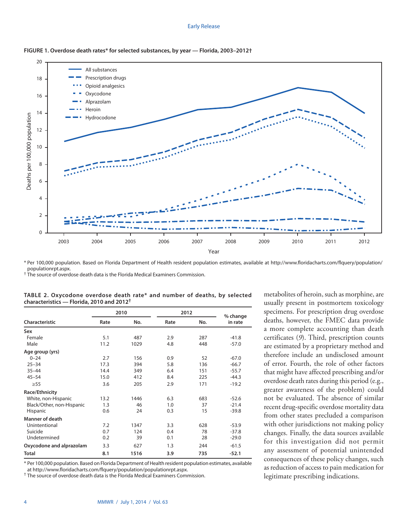#### Early Release



#### **FIGURE 1. Overdose death rates\* for selected substances, by year — Florida, 2003–2012†**

\* Per 100,000 population. Based on Florida Department of Health resident population estimates, available at [http://www.floridacharts.com/flquery/population/](http://www.floridacharts.com/flquery/population/populationrpt.aspx) [populationrpt.aspx.](http://www.floridacharts.com/flquery/population/populationrpt.aspx)<br><sup>†</sup> The source of overdose death data is the Florida Medical Examiners Commission.

|                           |      | 2010 | 2012 | % change |         |
|---------------------------|------|------|------|----------|---------|
| Characteristic            | Rate | No.  | Rate | No.      | in rate |
| Sex                       |      |      |      |          |         |
| Female                    | 5.1  | 487  | 2.9  | 287      | $-41.8$ |
| Male                      | 11.2 | 1029 | 4.8  | 448      | $-57.0$ |
| Age group (yrs)           |      |      |      |          |         |
| $0 - 24$                  | 2.7  | 156  | 0.9  | 52       | $-67.0$ |
| $25 - 34$                 | 17.3 | 394  | 5.8  | 136      | $-66.7$ |
| $35 - 44$                 | 14.4 | 349  | 6.4  | 151      | $-55.7$ |
| $45 - 54$                 | 15.0 | 412  | 8.4  | 225      | $-44.3$ |
| $\geq 55$                 | 3.6  | 205  | 2.9  | 171      | $-19.2$ |
| Race/Ethnicity            |      |      |      |          |         |
| White, non-Hispanic       | 13.2 | 1446 | 6.3  | 683      | $-52.6$ |
| Black/Other, non-Hispanic | 1.3  | 46   | 1.0  | 37       | $-21.4$ |
| Hispanic                  | 0.6  | 24   | 0.3  | 15       | $-39.8$ |
| <b>Manner of death</b>    |      |      |      |          |         |
| Unintentional             | 7.2  | 1347 | 3.3  | 628      | $-53.9$ |
| Suicide                   | 0.7  | 124  | 0.4  | 78       | $-37.8$ |
| Undetermined              | 0.2  | 39   | 0.1  | 28       | $-29.0$ |
| Oxycodone and alprazolam  | 3.3  | 627  | 1.3  | 244      | $-61.5$ |
| <b>Total</b>              | 8.1  | 1516 | 3.9  | 735      | $-52.1$ |

| TABLE 2. Oxycodone overdose death rate* and number of deaths, by selected |  |  |  |  |
|---------------------------------------------------------------------------|--|--|--|--|
| characteristics - Florida, 2010 and 2012 <sup>†</sup>                     |  |  |  |  |

\* Per 100,000 population. Based on Florida Department of Health resident population estimates, available at [http://www.floridacharts.com/flquery/population/populationrpt.aspx.](http://www.floridacharts.com/flquery/population/populationrpt.aspx) † The source of overdose death data is the Florida Medical Examiners Commission.

metabolites of heroin, such as morphine, are usually present in postmortem toxicology specimens. For prescription drug overdose deaths, however, the FMEC data provide a more complete accounting than death certificates (*9*). Third, prescription counts are estimated by a proprietary method and therefore include an undisclosed amount of error. Fourth, the role of other factors that might have affected prescribing and/or overdose death rates during this period (e.g., greater awareness of the problem) could not be evaluated. The absence of similar recent drug-specific overdose mortality data from other states precluded a comparison with other jurisdictions not making policy changes. Finally, the data sources available for this investigation did not permit any assessment of potential unintended consequences of these policy changes, such as reduction of access to pain medication for legitimate prescribing indications.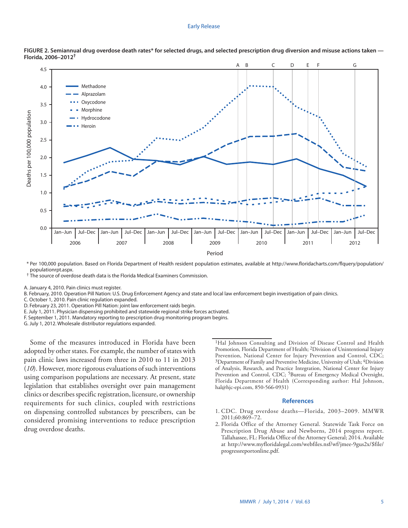#### Early Release





\* Per 100,000 population. Based on Florida Department of Health resident population estimates, available at [http://www.floridacharts.com/flquery/population/](http://www.floridacharts.com/flquery/population/populationrpt.aspx)

<sup>†</sup> The source of overdose death data is the Florida Medical Examiners Commission.

A. January 4, 2010. Pain clinics must register.

B. February, 2010. Operation Pill Nation: U.S. Drug Enforcement Agency and state and local law enforcement begin investigation of pain clinics.

C. October 1, 2010. Pain clinic regulation expanded.

D. February 23, 2011. Operation Pill Nation: joint law enforcement raids begin.

E. July 1, 2011. Physician dispensing prohibited and statewide regional strike forces activated.

F. September 1, 2011. Mandatory reporting to prescription drug monitoring program begins.

G. July 1, 2012. Wholesale distributor regulations expanded.

Some of the measures introduced in Florida have been adopted by other states. For example, the number of states with pain clinic laws increased from three in 2010 to 11 in 2013 (*10*). However, more rigorous evaluations of such interventions using comparison populations are necessary. At present, state legislation that establishes oversight over pain management clinics or describes specific registration, licensure, or ownership requirements for such clinics, coupled with restrictions on dispensing controlled substances by prescribers, can be considered promising interventions to reduce prescription drug overdose deaths.

<sup>1</sup>Hal Johnson Consulting and Division of Disease Control and Health Promotion, Florida Department of Health; 2Division of Unintentional Injury Prevention, National Center for Injury Prevention and Control, CDC; <sup>3</sup>Department of Family and Preventive Medicine, University of Utah; <sup>4</sup>Division of Analysis, Research, and Practice Integration, National Center for Injury Prevention and Control, CDC; <sup>5</sup>Bureau of Emergency Medical Oversight, Florida Department of Health (Corresponding author: Hal Johnson, [hal@hjc-epi.com](mailto:hal@hjc-epi.com), 850-566-0931)

#### **References**

- 1. CDC. Drug overdose deaths—Florida, 2003–2009. MMWR 2011;60:869–72.
- 2. Florida Office of the Attorney General. Statewide Task Force on Prescription Drug Abuse and Newborns, 2014 progress report. Tallahassee, FL: Florida Office of the Attorney General; 2014. Available at [http://www.myfloridalegal.com/webfiles.nsf/wf/jmee-9gus2x/\\$file/](http://www.myfloridalegal.com/webfiles.nsf/wf/jmee-9gus2x/$file/progressreportonline.pdf) [progressreportonline.pdf](http://www.myfloridalegal.com/webfiles.nsf/wf/jmee-9gus2x/$file/progressreportonline.pdf).